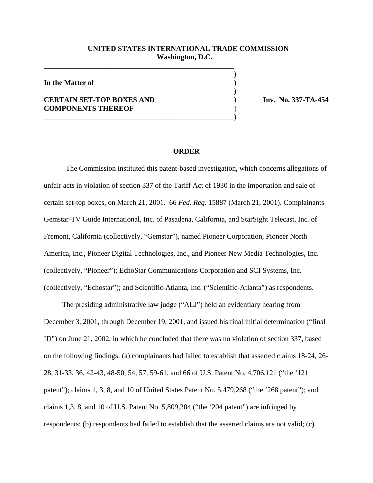## **UNITED STATES INTERNATIONAL TRADE COMMISSION Washington, D.C.**

 $\overline{\phantom{a}}$ 

 $\overline{\phantom{a}}$ 

**In the Matter of** )

## **CERTAIN SET-TOP BOXES AND** ) **Inv. No. 337-TA-454 COMPONENTS THEREOF** )

\_\_\_\_\_\_\_\_\_\_\_\_\_\_\_\_\_\_\_\_\_\_\_\_\_\_\_\_\_\_\_\_\_\_\_\_\_\_\_\_\_\_\_\_\_\_\_\_\_\_\_\_

\_\_\_\_\_\_\_\_\_\_\_\_\_\_\_\_\_\_\_\_\_\_\_\_\_\_\_\_\_\_\_\_\_\_\_\_\_\_\_\_\_\_\_\_\_\_\_\_\_\_\_\_)

## **ORDER**

The Commission instituted this patent-based investigation, which concerns allegations of unfair acts in violation of section 337 of the Tariff Act of 1930 in the importation and sale of certain set-top boxes, on March 21, 2001. 66 *Fed. Reg.* 15887 (March 21, 2001). Complainants Gemstar-TV Guide International, Inc. of Pasadena, California, and StarSight Telecast, Inc. of Fremont, California (collectively, "Gemstar"), named Pioneer Corporation, Pioneer North America, Inc., Pioneer Digital Technologies, Inc., and Pioneer New Media Technologies, Inc. (collectively, "Pioneer"); EchoStar Communications Corporation and SCI Systems, Inc. (collectively, "Echostar"); and Scientific-Atlanta, Inc. ("Scientific-Atlanta") as respondents.

 The presiding administrative law judge ("ALJ") held an evidentiary hearing from December 3, 2001, through December 19, 2001, and issued his final initial determination ("final ID") on June 21, 2002, in which he concluded that there was no violation of section 337, based on the following findings: (a) complainants had failed to establish that asserted claims 18-24, 26- 28, 31-33, 36, 42-43, 48-50, 54, 57, 59-61, and 66 of U.S. Patent No. 4,706,121 ("the '121 patent"); claims 1, 3, 8, and 10 of United States Patent No. 5,479,268 ("the '268 patent"); and claims 1,3, 8, and 10 of U.S. Patent No. 5,809,204 ("the '204 patent") are infringed by respondents; (b) respondents had failed to establish that the asserted claims are not valid; (c)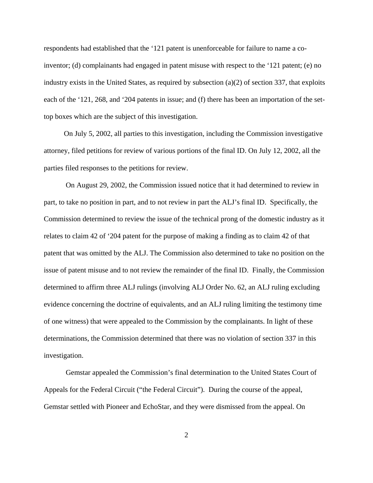respondents had established that the '121 patent is unenforceable for failure to name a coinventor; (d) complainants had engaged in patent misuse with respect to the '121 patent; (e) no industry exists in the United States, as required by subsection  $(a)(2)$  of section 337, that exploits each of the '121, 268, and '204 patents in issue; and (f) there has been an importation of the settop boxes which are the subject of this investigation.

 On July 5, 2002, all parties to this investigation, including the Commission investigative attorney, filed petitions for review of various portions of the final ID. On July 12, 2002, all the parties filed responses to the petitions for review.

On August 29, 2002, the Commission issued notice that it had determined to review in part, to take no position in part, and to not review in part the ALJ's final ID. Specifically, the Commission determined to review the issue of the technical prong of the domestic industry as it relates to claim 42 of '204 patent for the purpose of making a finding as to claim 42 of that patent that was omitted by the ALJ. The Commission also determined to take no position on the issue of patent misuse and to not review the remainder of the final ID. Finally, the Commission determined to affirm three ALJ rulings (involving ALJ Order No. 62, an ALJ ruling excluding evidence concerning the doctrine of equivalents, and an ALJ ruling limiting the testimony time of one witness) that were appealed to the Commission by the complainants. In light of these determinations, the Commission determined that there was no violation of section 337 in this investigation.

Gemstar appealed the Commission's final determination to the United States Court of Appeals for the Federal Circuit ("the Federal Circuit"). During the course of the appeal, Gemstar settled with Pioneer and EchoStar, and they were dismissed from the appeal. On